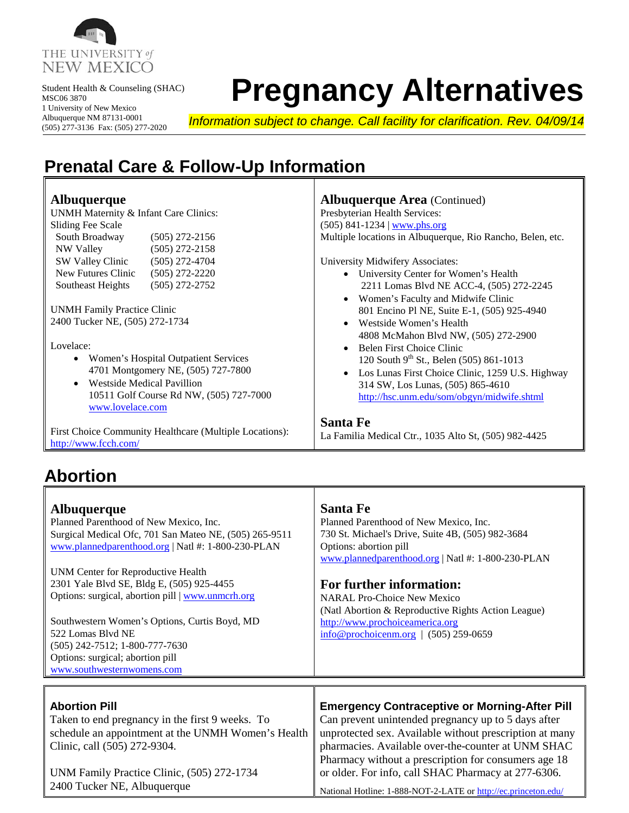

 Student Health & Counseling (SHAC) MSC06 3870 1 University of New Mexico Albuquerque NM 87131-0001 (505) 277-3136 Fax: (505) 277-2020

# **Pregnancy Alternatives**

╗

╗

*Information subject to change. Call facility for clarification. Rev. 04/09/14*

### **Prenatal Care & Follow-Up Information**

| <b>Albuquerque</b><br>UNMH Maternity & Infant Care Clinics:<br><b>Sliding Fee Scale</b><br>South Broadway<br>$(505)$ 272-2156<br>NW Valley<br>$(505)$ 272-2158<br>SW Valley Clinic<br>$(505)$ 272-4704<br>New Futures Clinic<br>$(505)$ 272-2220<br>$(505)$ 272-2752<br>Southeast Heights<br><b>UNMH</b> Family Practice Clinic<br>2400 Tucker NE, (505) 272-1734<br>Lovelace: | <b>Albuquerque Area</b> (Continued)<br>Presbyterian Health Services:<br>$(505)$ 841-1234   www.phs.org<br>Multiple locations in Albuquerque, Rio Rancho, Belen, etc.<br>University Midwifery Associates:<br>• University Center for Women's Health<br>2211 Lomas Blvd NE ACC-4, (505) 272-2245<br>• Women's Faculty and Midwife Clinic<br>801 Encino Pl NE, Suite E-1, (505) 925-4940<br>Westside Women's Health<br>$\bullet$<br>4808 McMahon Blvd NW, (505) 272-2900<br>Belen First Choice Clinic<br>$\bullet$ |
|--------------------------------------------------------------------------------------------------------------------------------------------------------------------------------------------------------------------------------------------------------------------------------------------------------------------------------------------------------------------------------|-----------------------------------------------------------------------------------------------------------------------------------------------------------------------------------------------------------------------------------------------------------------------------------------------------------------------------------------------------------------------------------------------------------------------------------------------------------------------------------------------------------------|
| Women's Hospital Outpatient Services<br>4701 Montgomery NE, (505) 727-7800                                                                                                                                                                                                                                                                                                     | 120 South 9 <sup>th</sup> St., Belen (505) 861-1013                                                                                                                                                                                                                                                                                                                                                                                                                                                             |
| <b>Westside Medical Pavillion</b><br>10511 Golf Course Rd NW, (505) 727-7000<br>www.lovelace.com                                                                                                                                                                                                                                                                               | Los Lunas First Choice Clinic, 1259 U.S. Highway<br>$\bullet$<br>314 SW, Los Lunas, (505) 865-4610<br>http://hsc.unm.edu/som/obgyn/midwife.shtml                                                                                                                                                                                                                                                                                                                                                                |
| First Choice Community Healthcare (Multiple Locations):<br>http://www.fcch.com/                                                                                                                                                                                                                                                                                                | <b>Santa Fe</b><br>La Familia Medical Ctr., 1035 Alto St, (505) 982-4425                                                                                                                                                                                                                                                                                                                                                                                                                                        |

#### **Abortion**

| <b>Albuquerque</b><br>Planned Parenthood of New Mexico, Inc.<br>Surgical Medical Ofc, 701 San Mateo NE, (505) 265-9511<br>www.plannedparenthood.org   Natl #: 1-800-230-PLAN<br><b>UNM Center for Reproductive Health</b><br>2301 Yale Blvd SE, Bldg E, (505) 925-4455<br>Options: surgical, abortion pill   www.unmcrh.org<br>Southwestern Women's Options, Curtis Boyd, MD<br>522 Lomas Blvd NE<br>$(505)$ 242-7512; 1-800-777-7630<br>Options: surgical; abortion pill<br>www.southwesternwomens.com | <b>Santa Fe</b><br>Planned Parenthood of New Mexico, Inc.<br>730 St. Michael's Drive, Suite 4B, (505) 982-3684<br>Options: abortion pill<br>www.plannedparenthood.org   Natl #: 1-800-230-PLAN<br>For further information:<br><b>NARAL Pro-Choice New Mexico</b><br>(Natl Abortion & Reproductive Rights Action League)<br>http://www.prochoiceamerica.org<br>$\frac{\text{info@prochoicenm.org}}{1.000}$   (505) 259-0659 |
|---------------------------------------------------------------------------------------------------------------------------------------------------------------------------------------------------------------------------------------------------------------------------------------------------------------------------------------------------------------------------------------------------------------------------------------------------------------------------------------------------------|----------------------------------------------------------------------------------------------------------------------------------------------------------------------------------------------------------------------------------------------------------------------------------------------------------------------------------------------------------------------------------------------------------------------------|
| <b>Abortion Pill</b><br>Taken to end pregnancy in the first 9 weeks. To<br>schedule an appointment at the UNMH Women's Health<br>Clinic, call (505) 272-9304.<br>UNM Family Practice Clinic, (505) 272-1734<br>2400 Tucker NE, Albuquerque                                                                                                                                                                                                                                                              | <b>Emergency Contraceptive or Morning-After Pill</b><br>Can prevent unintended pregnancy up to 5 days after<br>unprotected sex. Available without prescription at many<br>pharmacies. Available over-the-counter at UNM SHAC<br>Pharmacy without a prescription for consumers age 18<br>or older. For info, call SHAC Pharmacy at 277-6306.<br>National Hotline: 1-888-NOT-2-LATE or http://ec.princeton.edu/              |